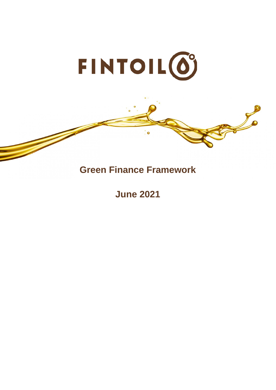

# **Green Finance Framework**

Jo

**June 2021**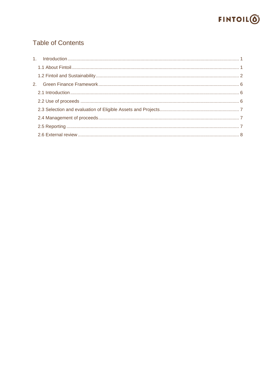

# **Table of Contents**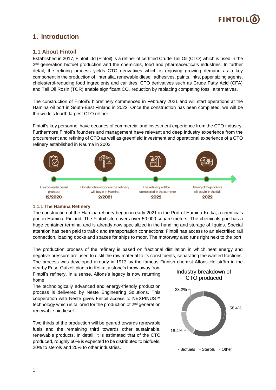

# <span id="page-2-0"></span>**1. Introduction**

## <span id="page-2-1"></span>**1.1 About Fintoil**

Established in 2017, Fintoil Ltd (Fintoil) is a refiner of certified Crude Tall Oil (CTO) which is used in the 2<sup>nd</sup> generation biofuel production and the chemicals, food and pharmaceuticals industries. In further detail, the refining process yields CTO derivatives which is enjoying growing demand as a key component in the production of, inter alia, renewable diesel, adhesives, paints, inks, paper sizing agents, cholesterol-reducing food ingredients and car tires. CTO derivatives such as Crude Fatty Acid (CFA) and Tall Oil Rosin (TOR) enable significant CO<sub>2</sub> reduction by replacing competing fossil alternatives.

The construction of Fintoil's biorefinery commenced in February 2021 and will start operations at the Hamina oil port in South-East Finland in 2022. Once the construction has been completed, we will be the world's fourth largest CTO refiner.

Fintoil's key personnel have decades of commercial and investment experience from the CTO industry. Furthermore Fintoil's founders and management have relevant and deep industry experience from the procurement and refining of CTO as well as greenfield investment and operational experience of a CTO refinery established in Rauma in 2002.



#### **1.1.1 The Hamina Refinery**

The construction of the Hamina refinery began in early 2021 in the Port of Hamina-Kotka, a chemicals port in Hamina, Finland. The Fintoil site covers over 50.000 square meters. The chemicals port has a huge container terminal and is already now specialized in the handling and storage of liquids. Special attention has been paid to traffic and transportation connections: Fintoil has access to an electrified rail connection, loading docks and spaces for ships to moor. The motorway also runs right next to the port.

The production process of the refinery is based on fractional distillation in which heat energy and negative pressure are used to distil the raw material to its constituents, separating the wanted fractions. The process was developed already in 1913 by the famous Finnish chemist Alfons Hellström in the

nearby Enso-Gutzeit plants in Kotka, a stone's throw away from Fintoil's refinery. In a sense, Alfons's legacy is now returning home.

The technologically advanced and energy-friendly production process is delivered by Neste Engineering Solutions. This cooperation with Neste gives Fintoil access to NEXPINUS™ technology which is tailored for the production of 2<sup>nd</sup> generation renewable biodiesel.

Two thirds of the production will be geared towards renewable fuels and the remaining third towards other sustainable, renewable products. In detail, it is estimated that of the CTO produced, roughly 60% is expected to be distributed to biofuels, 20% to sterols and 20% to other industries.



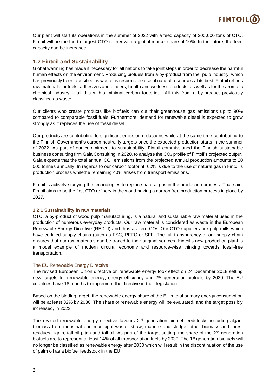

Our plant will start its operations in the summer of 2022 with a feed capacity of 200,000 tons of CTO. Fintoil will be the fourth largest CTO refiner with a global market share of 10%. In the future, the feed capacity can be increased.

## <span id="page-3-0"></span>**1.2 Fintoil and Sustainability**

Global warming has made it necessary for all nations to take joint steps in order to decrease the harmful human effects on the environment. Producing biofuels from a by-product from the pulp industry, which has previously been classified as waste, is responsible use of natural resources at its best. Fintoil refines raw materials for fuels, adhesives and binders, health and wellness products, as well as for the aromatic chemical industry – all this with a minimal carbon footprint. All this from a by-product previously classified as waste.

Our clients who create products like biofuels can cut their greenhouse gas emissions up to 90% compared to comparable fossil fuels. Furthermore, demand for renewable diesel is expected to grow strongly as it replaces the use of fossil diesel.

Our products are contributing to significant emission reductions while at the same time contributing to the Finnish Government's carbon neutrality targets once the expected production starts in the summer of 2022. As part of our commitment to sustainability, Fintoil commissioned the Finnish sustainable business consulting firm Gaia Consulting in 2020, to analyse the CO<sub>2</sub> profile of Fintoil's projected output. Gaia expects that the total annual  $CO<sub>2</sub>$  emissions from the projected annual production amounts to 20 000 tonnes annually. In regards to our carbon footprint, 60% is due to the use of natural gas in Fintoil's production process whilethe remaining 40% arises from transport emissions.

Fintoil is actively studying the technologies to replace natural gas in the production process. That said, Fintoil aims to be the first CTO refinery in the world having a carbon free production process in place by 2027.

#### **1.2.1 Sustainability in raw materials**

CTO, a by-product of wood pulp manufacturing, is a natural and sustainable raw material used in the production of numerous everyday products. Our raw material is considered as waste in the European Renewable Energy Directive (RED II) and thus as zero  $CO<sub>2</sub>$ . Our CTO suppliers are pulp mills which have certified supply chains (such as FSC, PEFC or SFI). The full transparency of our supply chain ensures that our raw materials can be traced to their original sources. Fintoil's new production plant is a model example of modern circular economy and resource-wise thinking towards fossil-free transportation.

#### The EU Renewable Energy Directive

The revised European Union directive on renewable energy took effect on 24 December 2018 setting new targets for renewable energy, energy efficiency and 2<sup>nd</sup> generation biofuels by 2030. The EU countries have 18 months to implement the directive in their legislation.

Based on the binding target, the renewable energy share of the EU's total primary energy consumption will be at least 32% by 2030. The share of renewable energy will be evaluated, and the target possibly increased, in 2023.

The revised renewable energy directive favours  $2^{nd}$  generation biofuel feedstocks including algae, biomass from industrial and municipal waste, straw, manure and sludge, other biomass and forest residues, lignin, tall oil pitch and tall oil. As part of the target setting, the share of the 2<sup>nd</sup> generation biofuels are to represent at least 14% of all transportation fuels by 2030. The 1st generation biofuels will no longer be classified as renewable energy after 2030 which will result in the discontinuation of the use of palm oil as a biofuel feedstock in the EU.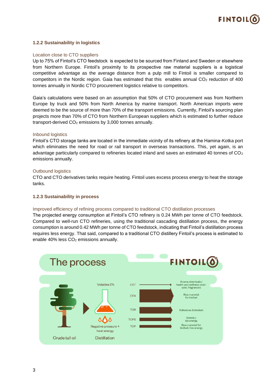

#### **1.2.2 Sustainability in logistics**

#### Location close to CTO suppliers

Up to 75% of Fintoil's CTO feedstock is expected to be sourced from Finland and Sweden or elsewhere from Northern Europe. Fintoil's proximity to its prospective raw material suppliers is a logistical competitive advantage as the average distance from a pulp mill to Fintoil is smaller compared to competitors in the Nordic region. Gaia has estimated that this enables annual  $CO<sub>2</sub>$  reduction of 400 tonnes annually in Nordic CTO procurement logistics relative to competitors.

Gaia's calculations were based on an assumption that 50% of CTO procurement was from Northern Europe by truck and 50% from North America by marine transport. North American imports were deemed to be the source of more than 70% of the transport emissions. Currently, Fintoil's sourcing plan projects more than 70% of CTO from Northern European suppliers which is estimated to further reduce transport-derived  $CO<sub>2</sub>$  emissions by 3,000 tonnes annually.

#### Inbound logistics

Fintoil's CTO storage tanks are located in the immediate vicinity of its refinery at the Hamina-Kotka port which eliminates the need for road or rail transport in overseas transactions. This, yet again, is an advantage particularly compared to refineries located inland and saves an estimated 40 tonnes of CO<sub>2</sub> emissions annually.

#### Outbound logistics

CTO and CTO derivatives tanks require heating. Fintoil uses excess process energy to heat the storage tanks.

#### **1.2.3 Sustainability in process**

#### Improved efficiency of refining process compared to traditional CTO distillation processes

The projected energy consumption at Fintoil's CTO refinery is 0.24 MWh per tonne of CTO feedstock. Compared to well-run CTO refineries, using the traditional cascading distillation process, the energy consumption is around 0.42 MWh per tonne of CTO feedstock, indicating that Fintoil's distillation process requires less energy. That said, compared to a traditional CTO distillery Fintoil's process is estimated to enable 40% less CO<sub>2</sub> emissions annually.

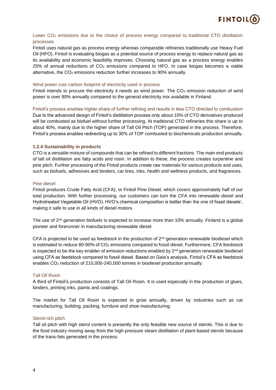

#### Lower CO<sub>2</sub> emissions due to the choice of process energy compared to traditional CTO distillation processes

Fintoil uses natural gas as process energy whereas comparable refineries traditionally use Heavy Fuel Oil (HFO). Fintoil is evaluating biogas as a potential source of process energy to replace natural gas as its availability and economic feasibility improves. Choosing natural gas as a process energy enables  $25\%$  of annual reductions of  $CO<sub>2</sub>$  emissions compared to HFO. In case biogas becomes a viable alternative, the CO<sub>2</sub> emissions reduction further increases to 90% annually.

#### Wind power cuts carbon footprint of electricity used in process

Fintoil intends to procure the electricity it needs as wind power. The  $CO<sub>2</sub>$  emission reduction of wind power is over 90% annually compared to the general electricity mix available in Finland.

Fintoil's process enables higher share of further refining and results in less CTO directed to combustion Due to the advanced design of Fintoil's distillation process only about 10% of CTO derivatives produced will be combusted as biofuel without further processing. At traditional CTO refineries this share is up to about 40%, mainly due to the higher share of Tall Oil Pitch (TOP) generated in the process. Therefore, Fintoil's process enables redirecting up to 30% of TOP combusted to biochemicals production annually.

#### **1.2.4 Sustainability in products**

CTO is a versatile mixture of compounds that can be refined to different fractions. The main end products of tall oil distillation are fatty acids and rosin. In addition to these, the process creates turpentine and pine pitch. Further processing of the Fintoil products create raw materials for various products and uses, such as biofuels, adhesives and binders, car tires, inks, health and wellness products, and fragrances.

#### Pine diesel

Fintoil produces Crude Fatty Acid (CFA), or Fintoil Pine Diesel, which covers approximately half of our total production. With further processing, our customers can turn the CFA into renewable diesel and Hydrotreated Vegetable Oil (HVO). HVO's chemical composition is better than the one of fossil diesels', making it safe to use in all kinds of diesel motors.

The use of 2<sup>nd</sup> generation biofuels is expected to increase more than 10% annually. Finland is a global pioneer and forerunner in manufacturing renewable diesel.

CFA is projected to be used as feedstock in the production of  $2<sup>nd</sup>$  generation renewable biodiesel which is estimated to reduce 80-90% of CO<sub>2</sub> emissions compared to fossil diesel. Furthermore, CFA feedstock is expected to be the key enabler of emission reductions enabled by  $2^{nd}$  generation renewable biodiesel using CFA as feedstock compared to fossil diesel. Based on Gaia's analysis, Fintoil's CFA as feedstock enables CO<sub>2</sub> reduction of 210,000-240,000 tonnes in biodiesel production annually.

#### Tall Oil Rosin

A third of Fintoil's production consists of Tall Oil Rosin. It is used especially in the production of glues, binders, printing inks, paints and coatings.

The market for Tall Oil Rosin is expected to grow annually, driven by industries such as car manufacturing, building, packing, furniture and shoe manufacturing.

#### Sterol-rich pitch

Tall oil pitch with high sterol content is presently the only feasible new source of sterols. This is due to the food industry moving away from the high-pressure steam distillation of plant-based sterols because of the trans-fats generated in the process.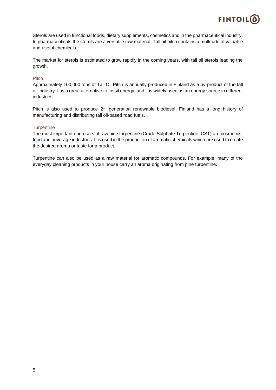

Sterols are used in functional foods, dietary supplements, cosmetics and in the pharmaceutical industry. In pharmaceuticals the sterols are a versatile raw material. Tall oil pitch contains a multitude of valuable and useful chemicals.

The market for sterols is estimated to grow rapidly in the coming years, with tall oil sterols leading the growth.

#### Pitch

Approximately 100,000 tons of Tall Oil Pitch is annually produced in Finland as a by-product of the tall oil industry. It is a great alternative to fossil energy, and it is widely used as an energy source in different industries.

Pitch is also used to produce  $2<sup>nd</sup>$  generation renewable biodiesel. Finland has a long history of manufacturing and distributing tall oil-based road fuels.

#### **Turpentine**

The most important end users of raw pine turpentine (Crude Sulphate Turpentine, CST) are cosmetics, food and beverage industries. It is used in the production of aromatic chemicals which are used to create the desired aroma or taste for a product.

Turpentine can also be used as a raw material for aromatic compounds. For example, many of the everyday cleaning products in your house carry an aroma originating from pine turpentine.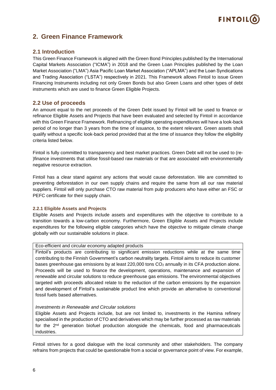# **FINTOIL**

# <span id="page-7-0"></span>**2. Green Finance Framework**

# <span id="page-7-1"></span>**2.1 Introduction**

This Green Finance Framework is aligned with the Green Bond Principles published by the International Capital Markets Association ("ICMA") in 2018 and the Green Loan Principles published by the Loan Market Association ("LMA") Asia Pacific Loan Market Association ("APLMA") and the Loan Syndications and Trading Association ("LSTA") respectively in 2021. This Framework allows Fintoil to issue Green Financing Instruments including not only Green Bonds but also Green Loans and other types of debt instruments which are used to finance Green Eligible Projects.

## <span id="page-7-2"></span>**2.2 Use of proceeds**

An amount equal to the net proceeds of the Green Debt issued by Fintoil will be used to finance or refinance Eligible Assets and Projects that have been evaluated and selected by Fintoil in accordance with this Green Finance Framework. Refinancing of eligible operating expenditures will have a look-back period of no longer than 3 years from the time of issuance, to the extent relevant. Green assets shall qualify without a specific look-back period provided that at the time of issuance they follow the eligibility criteria listed below.

Fintoil is fully committed to transparency and best market practices. Green Debt will not be used to (re- )finance investments that utilise fossil-based raw materials or that are associated with environmentally negative resource extraction.

Fintoil has a clear stand against any actions that would cause deforestation. We are committed to preventing deforestation in our own supply chains and require the same from all our raw material suppliers. Fintoil will only purchase CTO raw material from pulp producers who have either an FSC or PEFC certificate for their supply chain.

#### **2.2.1 Eligible Assets and Projects**

Eligible Assets and Projects include assets and expenditures with the objective to contribute to a transition towards a low-carbon economy. Furthermore, Green Eligible Assets and Projects include expenditures for the following eligible categories which have the objective to mitigate climate change globally with our sustainable solutions in place.

#### Eco-efficient and circular economy adapted products

Fintoil's products are contributing to significant emission reductions while at the same time contributing to the Finnish Government's carbon neutrality targets. Fintoil aims to reduce its customer bases greenhouse gas emissions by at least 220,000 tons CO<sub>2</sub> annually in its CFA production alone. Proceeds will be used to finance the development, operations, maintenance and expansion of renewable and circular solutions to reduce greenhouse gas emissions. The environmental objectives targeted with proceeds allocated relate to the reduction of the carbon emissions by the expansion and development of Fintoil's sustainable product line which provide an alternative to conventional fossil fuels based alternatives.

#### *Investments in Renewable and Circular solutions*

Eligible Assets and Projects include, but are not limited to, investments in the Hamina refinery specialised in the production of CTO and derivatives which may be further processed as raw materials for the  $2^{nd}$  generation biofuel production alongside the chemicals, food and pharmaceuticals industries.

Fintoil strives for a good dialogue with the local community and other stakeholders. The company refrains from projects that could be questionable from a social or governance point of view. For example,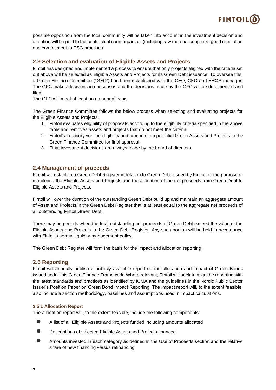

possible opposition from the local community will be taken into account in the investment decision and attention will be paid to the contractual counterparties' (including raw material suppliers) good reputation and commitment to ESG practises.

# <span id="page-8-0"></span>**2.3 Selection and evaluation of Eligible Assets and Projects**

Fintoil has designed and implemented a process to ensure that only projects aligned with the criteria set out above will be selected as Eligible Assets and Projects for its Green Debt issuance. To oversee this, a Green Finance Committee ("GFC") has been established with the CEO, CFO and EHQS manager. The GFC makes decisions in consensus and the decisions made by the GFC will be documented and filed.

The GFC will meet at least on an annual basis.

The Green Finance Committee follows the below process when selecting and evaluating projects for the Eligible Assets and Projects.

- 1. Fintoil evaluates eligibility of proposals according to the eligibility criteria specified in the above table and removes assets and projects that do not meet the criteria.
- 2. Fintoil's Treasury verifies eligibility and presents the potential Green Assets and Projects to the Green Finance Committee for final approval.
- 3. Final investment decisions are always made by the board of directors.

### <span id="page-8-1"></span>**2.4 Management of proceeds**

Fintoil will establish a Green Debt Register in relation to Green Debt issued by Fintoil for the purpose of monitoring the Eligible Assets and Projects and the allocation of the net proceeds from Green Debt to Eligible Assets and Projects.

Fintoil will over the duration of the outstanding Green Debt build up and maintain an aggregate amount of Asset and Projects in the Green Debt Register that is at least equal to the aggregate net proceeds of all outstanding Fintoil Green Debt.

There may be periods when the total outstanding net proceeds of Green Debt exceed the value of the Eligible Assets and Projects in the Green Debt Register. Any such portion will be held in accordance with Fintoil's normal liquidity management policy.

The Green Debt Register will form the basis for the impact and allocation reporting.

### <span id="page-8-2"></span>**2.5 Reporting**

Fintoil will annually publish a publicly available report on the allocation and impact of Green Bonds issued under this Green Finance Framework. Where relevant, Fintoil will seek to align the reporting with the latest standards and practices as identified by ICMA and the guidelines in the Nordic Public Sector Issuer's Position Paper on Green Bond Impact Reporting. The impact report will, to the extent feasible, also include a section methodology, baselines and assumptions used in impact calculations.

#### **2.5.1 Allocation Report**

The allocation report will, to the extent feasible, include the following components:

- A list of all Eligible Assets and Projects funded including amounts allocated
- Descriptions of selected Eligible Assets and Projects financed
- Amounts invested in each category as defined in the Use of Proceeds section and the relative share of new financing versus refinancing